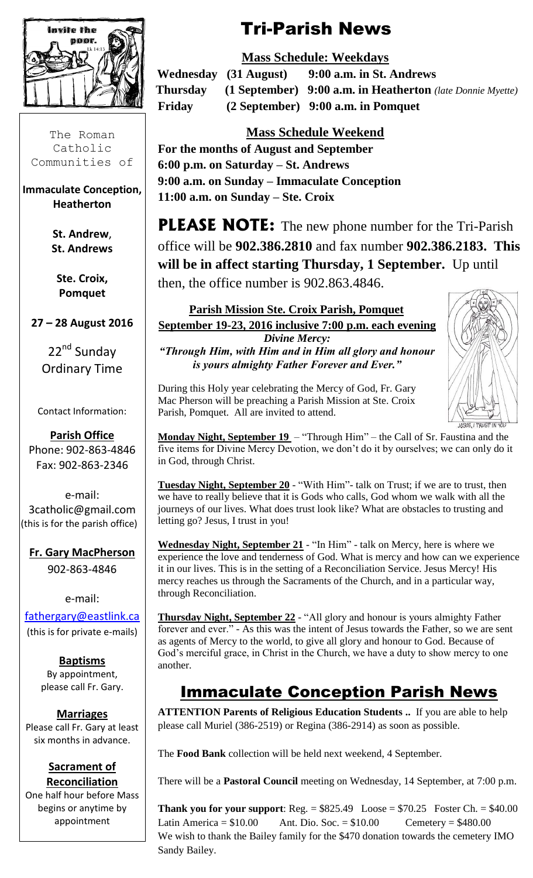

The Roman Catholic Communities of

**Immaculate Conception, Heatherton**

> **St. Andrew**, **St. Andrews**

**Ste. Croix, Pomquet**

**27 – 28 August 2016**

22<sup>nd</sup> Sunday Ordinary Time

Contact Information:

**Parish Office**  Phone: 902-863-4846 Fax: 902-863-2346

e-mail: 3catholic@gmail.com (this is for the parish office)

**Fr. Gary MacPherson** 902-863-4846

#### e-mail:

[fathergary@eastlink.ca](mailto:fathergary@eastlink.ca) (this is for private e-mails)

> **Baptisms** By appointment, please call Fr. Gary.

**Marriages** Please call Fr. Gary at least six months in advance.

#### **Sacrament of Reconciliation**

One half hour before Mass begins or anytime by appointment

# Tri-Parish News

### **Mass Schedule: Weekdays**

 **Wednesday (31 August) 9:00 a.m. in St. Andrews Thursday (1 September) 9:00 a.m. in Heatherton** *(late Donnie Myette)* **Friday (2 September) 9:00 a.m. in Pomquet**

### **Mass Schedule Weekend**

**For the months of August and September 6:00 p.m. on Saturday – St. Andrews 9:00 a.m. on Sunday – Immaculate Conception 11:00 a.m. on Sunday – Ste. Croix**

**PLEASE NOTE:** The new phone number for the Tri-Parish office will be **902.386.2810** and fax number **902.386.2183. This will be in affect starting Thursday, 1 September.** Up until then, the office number is 902.863.4846.

**Parish Mission Ste. Croix Parish, Pomquet September 19-23, 2016 inclusive 7:00 p.m. each evening** *Divine Mercy: "Through Him, with Him and in Him all glory and honour* 

*is yours almighty Father Forever and Ever."*

During this Holy year celebrating the Mercy of God, Fr. Gary Mac Pherson will be preaching a Parish Mission at Ste. Croix Parish, Pomquet. All are invited to attend.

**Monday Night, September 19** – "Through Him" – the Call of Sr. Faustina and the five items for Divine Mercy Devotion, we don't do it by ourselves; we can only do it in God, through Christ.

**Tuesday Night, September 20** - "With Him"- talk on Trust; if we are to trust, then we have to really believe that it is Gods who calls, God whom we walk with all the journeys of our lives. What does trust look like? What are obstacles to trusting and letting go? Jesus, I trust in you!

**Wednesday Night, September 21** - "In Him" - talk on Mercy, here is where we experience the love and tenderness of God. What is mercy and how can we experience it in our lives. This is in the setting of a Reconciliation Service. Jesus Mercy! His mercy reaches us through the Sacraments of the Church, and in a particular way, through Reconciliation.

**Thursday Night, September 22** - "All glory and honour is yours almighty Father forever and ever." - As this was the intent of Jesus towards the Father, so we are sent as agents of Mercy to the world, to give all glory and honour to God. Because of God's merciful grace, in Christ in the Church, we have a duty to show mercy to one another.

## Immaculate Conception Parish News

**ATTENTION Parents of Religious Education Students ..** If you are able to help please call Muriel (386-2519) or Regina (386-2914) as soon as possible.

The **Food Bank** collection will be held next weekend, 4 September.

There will be a **Pastoral Council** meeting on Wednesday, 14 September, at 7:00 p.m.

**Thank you for your support:** Reg.  $= $825.49$  Loose  $= $70.25$  Foster Ch.  $= $40.00$ Latin America =  $$10.00$  Ant. Dio. Soc. =  $$10.00$  Cemetery =  $$480.00$ We wish to thank the Bailey family for the \$470 donation towards the cemetery IMO Sandy Bailey.